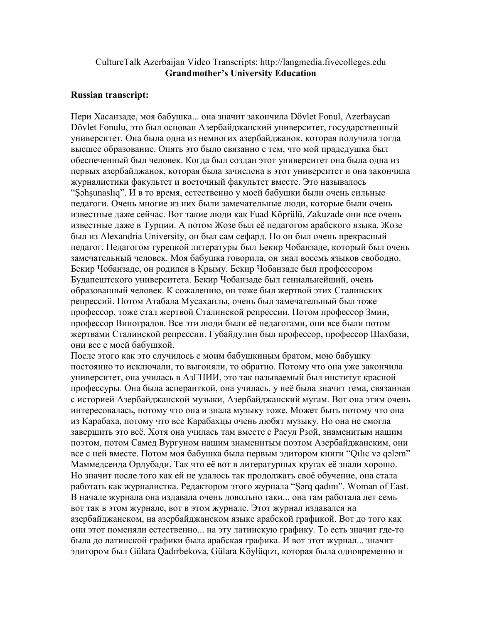## CultureTalk Azerbaijan Video Transcripts: http://langmedia.fivecolleges.edu Grandmother's University Education

## Russian transcript:

Пери Хасанзаде, моя бабушка... она значит закончила Dövlet Fonul, Azerbaycan Dövlet Fonulu, это был основан Азербайджанcкий университет, государственный университет. Она была одна из немногих азербайджанок, которая получила тогда высшее образование. Опять это было связанно с тем, что мой прадедушка был обеспеченный был человек. Когда был создан этот университет она была одна из первых азербайджанок, которая была зачислена в этот университет и она закончила журналистики факультет и восточный факультет вместе. Это называлось "Şəhşunaslıq". И в то время, естественно у моей бабушки были очень сильные педагоги. Очень многие из них были замечательные люди, которые были очень известные даже сейчас. Вот такие люди как Fuad Köprülü, Zakuzade они все очень известные даже в Турции. А потом Жозе был её педагогом арабского языка. Жозе был из Alexandria University, он был сам cефард. Но он был очень прекрасный педагог. Педагогом турецкой литературы был Бекир Чобанзаде, который был очень замечательный человек. Моя бабушка говорила, он знал восемь языков свободно. Бекир Чобанзаде, он родился в Крыму. Бекир Чобанзаде был профессором Будапештского университета. Бекир Чобанзаде был гениальнейший, очень образованный человек. К сожалению, он тоже был жертвой этих Сталинских репрессий. Потом Атабала Мусаханлы, очень был замечательный был тоже профессор, тоже стал жертвой Сталинской репрессии. Потом профессор Змин, профессор Виноградов. Все эти люди были её педагогами, они все были потом жертвами Сталинской репрессии. Губайдулин был профессор, профессор Шахбази, они все с моей бабушкой.

После этого как это случилось с моим бабушкиным братом, мою бабушку постоянно то исключали, то выгоняли, то обратно. Потому что она уже закончила университет, она училась в АзГНИИ, это так называемый был институт красной профессуры. Она была асперанткой, она училась, у неё была значит тема, связанная с историей Азербайджанской музыки, Азербайджанский мугам. Вот она этим очень интересовалась, потому что она и знала музыку тоже. Может быть потому что она из Карабаха, потому что все Карабахцы очень любят музыку. Но она не смогла завершить это всё. Хотя она училась там вместе с Расул Рзой, знаменитым нашим поэтом, потом Самед Вургуном нашим знаменитым поэтом Азербайджанским, они все с ней вместе. Потом моя бабушка была первым эдитором книги "Qılıc və qələm" Маммедсеида Ордубади. Так что её вот в литературных кругах её знали хорошо. Но значит после того как ей не удалось так продолжать своё обучение, она стала работать как журналистка. Редактором этого журнала "Şərq qadını". Woman of East. В начале журнала она издавала очень довольно таки... она там работала лет семь вот так в этом журнале, вот в этом журнале. Этот журнал издавался на азербайджанском, на азербайджанском языке арабской графикой. Вот до того как они этот поменяли естественно... на эту латинскую графику. То есть значит где-то была до латинской графики была арабская графика. И вот этот журнал... значит эдитором был Gülara Qadırbekova, Gülara Köylüqızı, которая была одновременно и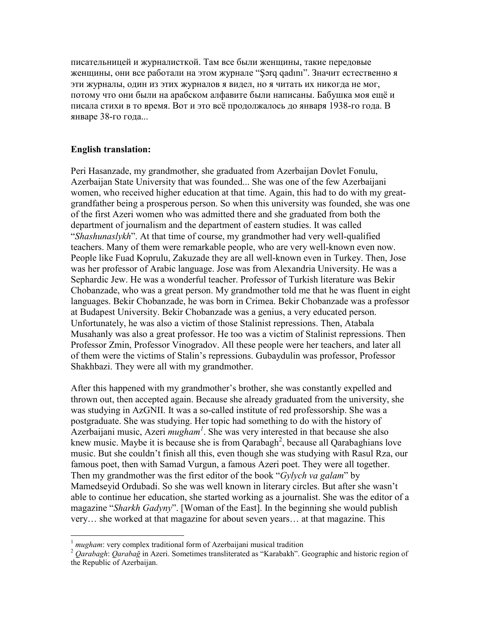писательницей и журналисткой. Там все были женщины, такие передовые женщины, они все работали на этом журнале "Şərq qadını". Значит естественно я эти журналы, один из этих журналов я видел, но я читать их никогда не мог, потому что они были на арабском алфавите были написаны. Бабушка моя ещё и писала стихи в то время. Вот и это всё продолжалось до января 1938-го года. В январе 38-го года...

## English translation:

Peri Hasanzade, my grandmother, she graduated from Azerbaijan Dovlet Fonulu, Azerbaijan State University that was founded... She was one of the few Azerbaijani women, who received higher education at that time. Again, this had to do with my greatgrandfather being a prosperous person. So when this university was founded, she was one of the first Azeri women who was admitted there and she graduated from both the department of journalism and the department of eastern studies. It was called "Shashunaslykh". At that time of course, my grandmother had very well-qualified teachers. Many of them were remarkable people, who are very well-known even now. People like Fuad Koprulu, Zakuzade they are all well-known even in Turkey. Then, Jose was her professor of Arabic language. Jose was from Alexandria University. He was a Sephardic Jew. He was a wonderful teacher. Professor of Turkish literature was Bekir Chobanzade, who was a great person. My grandmother told me that he was fluent in eight languages. Bekir Chobanzade, he was born in Crimea. Bekir Chobanzade was a professor at Budapest University. Bekir Chobanzade was a genius, a very educated person. Unfortunately, he was also a victim of those Stalinist repressions. Then, Atabala Musahanly was also a great professor. He too was a victim of Stalinist repressions. Then Professor Zmin, Professor Vinogradov. All these people were her teachers, and later all of them were the victims of Stalin's repressions. Gubaydulin was professor, Professor Shakhbazi. They were all with my grandmother.

After this happened with my grandmother's brother, she was constantly expelled and thrown out, then accepted again. Because she already graduated from the university, she was studying in AzGNII. It was a so-called institute of red professorship. She was a postgraduate. She was studying. Her topic had something to do with the history of Azerbaijani music, Azeri *mugham<sup>1</sup>*. She was very interested in that because she also knew music. Maybe it is because she is from Qarabagh<sup>2</sup>, because all Qarabaghians love music. But she couldn't finish all this, even though she was studying with Rasul Rza, our famous poet, then with Samad Vurgun, a famous Azeri poet. They were all together. Then my grandmother was the first editor of the book "Gylych va galam" by Mamedseyid Ordubadi. So she was well known in literary circles. But after she wasn't able to continue her education, she started working as a journalist. She was the editor of a magazine "Sharkh Gadyny". [Woman of the East]. In the beginning she would publish very… she worked at that magazine for about seven years… at that magazine. This

 $\overline{a}$  $1$  mugham: very complex traditional form of Azerbaijani musical tradition

<sup>&</sup>lt;sup>2</sup> Qarabagh: Qarabağ in Azeri. Sometimes transliterated as "Karabakh". Geographic and historic region of the Republic of Azerbaijan.